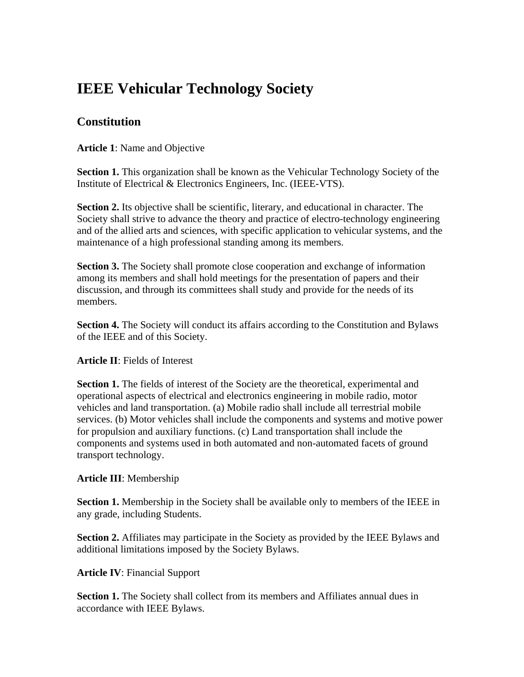# **IEEE Vehicular Technology Society**

## **Constitution**

**Article 1**: Name and Objective

**Section 1.** This organization shall be known as the Vehicular Technology Society of the Institute of Electrical & Electronics Engineers, Inc. (IEEE-VTS).

**Section 2.** Its objective shall be scientific, literary, and educational in character. The Society shall strive to advance the theory and practice of electro-technology engineering and of the allied arts and sciences, with specific application to vehicular systems, and the maintenance of a high professional standing among its members.

**Section 3.** The Society shall promote close cooperation and exchange of information among its members and shall hold meetings for the presentation of papers and their discussion, and through its committees shall study and provide for the needs of its members.

**Section 4.** The Society will conduct its affairs according to the Constitution and Bylaws of the IEEE and of this Society.

#### **Article II**: Fields of Interest

**Section 1.** The fields of interest of the Society are the theoretical, experimental and operational aspects of electrical and electronics engineering in mobile radio, motor vehicles and land transportation. (a) Mobile radio shall include all terrestrial mobile services. (b) Motor vehicles shall include the components and systems and motive power for propulsion and auxiliary functions. (c) Land transportation shall include the components and systems used in both automated and non-automated facets of ground transport technology.

#### **Article III**: Membership

**Section 1.** Membership in the Society shall be available only to members of the IEEE in any grade, including Students.

**Section 2.** Affiliates may participate in the Society as provided by the IEEE Bylaws and additional limitations imposed by the Society Bylaws.

### **Article IV**: Financial Support

**Section 1.** The Society shall collect from its members and Affiliates annual dues in accordance with IEEE Bylaws.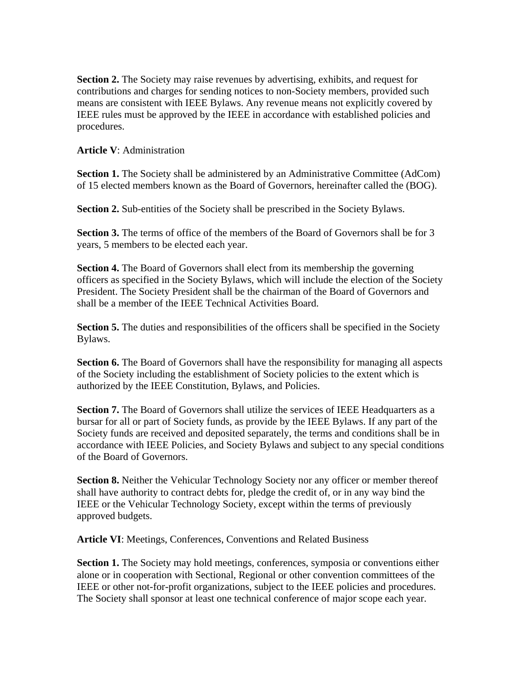**Section 2.** The Society may raise revenues by advertising, exhibits, and request for contributions and charges for sending notices to non-Society members, provided such means are consistent with IEEE Bylaws. Any revenue means not explicitly covered by IEEE rules must be approved by the IEEE in accordance with established policies and procedures.

**Article V**: Administration

**Section 1.** The Society shall be administered by an Administrative Committee (AdCom) of 15 elected members known as the Board of Governors, hereinafter called the (BOG).

**Section 2.** Sub-entities of the Society shall be prescribed in the Society Bylaws.

Section 3. The terms of office of the members of the Board of Governors shall be for 3 years, 5 members to be elected each year.

**Section 4.** The Board of Governors shall elect from its membership the governing officers as specified in the Society Bylaws, which will include the election of the Society President. The Society President shall be the chairman of the Board of Governors and shall be a member of the IEEE Technical Activities Board.

**Section 5.** The duties and responsibilities of the officers shall be specified in the Society Bylaws.

**Section 6.** The Board of Governors shall have the responsibility for managing all aspects of the Society including the establishment of Society policies to the extent which is authorized by the IEEE Constitution, Bylaws, and Policies.

**Section 7.** The Board of Governors shall utilize the services of IEEE Headquarters as a bursar for all or part of Society funds, as provide by the IEEE Bylaws. If any part of the Society funds are received and deposited separately, the terms and conditions shall be in accordance with IEEE Policies, and Society Bylaws and subject to any special conditions of the Board of Governors.

**Section 8.** Neither the Vehicular Technology Society nor any officer or member thereof shall have authority to contract debts for, pledge the credit of, or in any way bind the IEEE or the Vehicular Technology Society, except within the terms of previously approved budgets.

**Article VI**: Meetings, Conferences, Conventions and Related Business

**Section 1.** The Society may hold meetings, conferences, symposia or conventions either alone or in cooperation with Sectional, Regional or other convention committees of the IEEE or other not-for-profit organizations, subject to the IEEE policies and procedures. The Society shall sponsor at least one technical conference of major scope each year.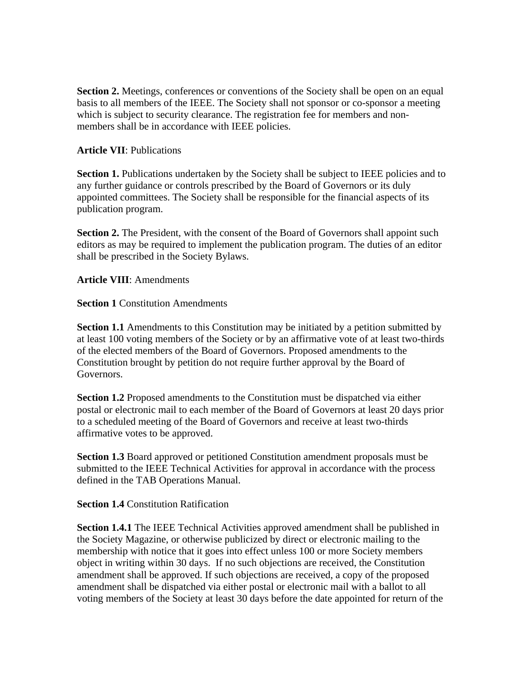**Section 2.** Meetings, conferences or conventions of the Society shall be open on an equal basis to all members of the IEEE. The Society shall not sponsor or co-sponsor a meeting which is subject to security clearance. The registration fee for members and nonmembers shall be in accordance with IEEE policies.

#### **Article VII**: Publications

**Section 1.** Publications undertaken by the Society shall be subject to IEEE policies and to any further guidance or controls prescribed by the Board of Governors or its duly appointed committees. The Society shall be responsible for the financial aspects of its publication program.

**Section 2.** The President, with the consent of the Board of Governors shall appoint such editors as may be required to implement the publication program. The duties of an editor shall be prescribed in the Society Bylaws.

**Article VIII**: Amendments

**Section 1 Constitution Amendments** 

**Section 1.1** Amendments to this Constitution may be initiated by a petition submitted by at least 100 voting members of the Society or by an affirmative vote of at least two-thirds of the elected members of the Board of Governors. Proposed amendments to the Constitution brought by petition do not require further approval by the Board of Governors.

**Section 1.2** Proposed amendments to the Constitution must be dispatched via either postal or electronic mail to each member of the Board of Governors at least 20 days prior to a scheduled meeting of the Board of Governors and receive at least two-thirds affirmative votes to be approved.

**Section 1.3** Board approved or petitioned Constitution amendment proposals must be submitted to the IEEE Technical Activities for approval in accordance with the process defined in the TAB Operations Manual.

**Section 1.4 Constitution Ratification** 

**Section 1.4.1** The IEEE Technical Activities approved amendment shall be published in the Society Magazine, or otherwise publicized by direct or electronic mailing to the membership with notice that it goes into effect unless 100 or more Society members object in writing within 30 days. If no such objections are received, the Constitution amendment shall be approved. If such objections are received, a copy of the proposed amendment shall be dispatched via either postal or electronic mail with a ballot to all voting members of the Society at least 30 days before the date appointed for return of the